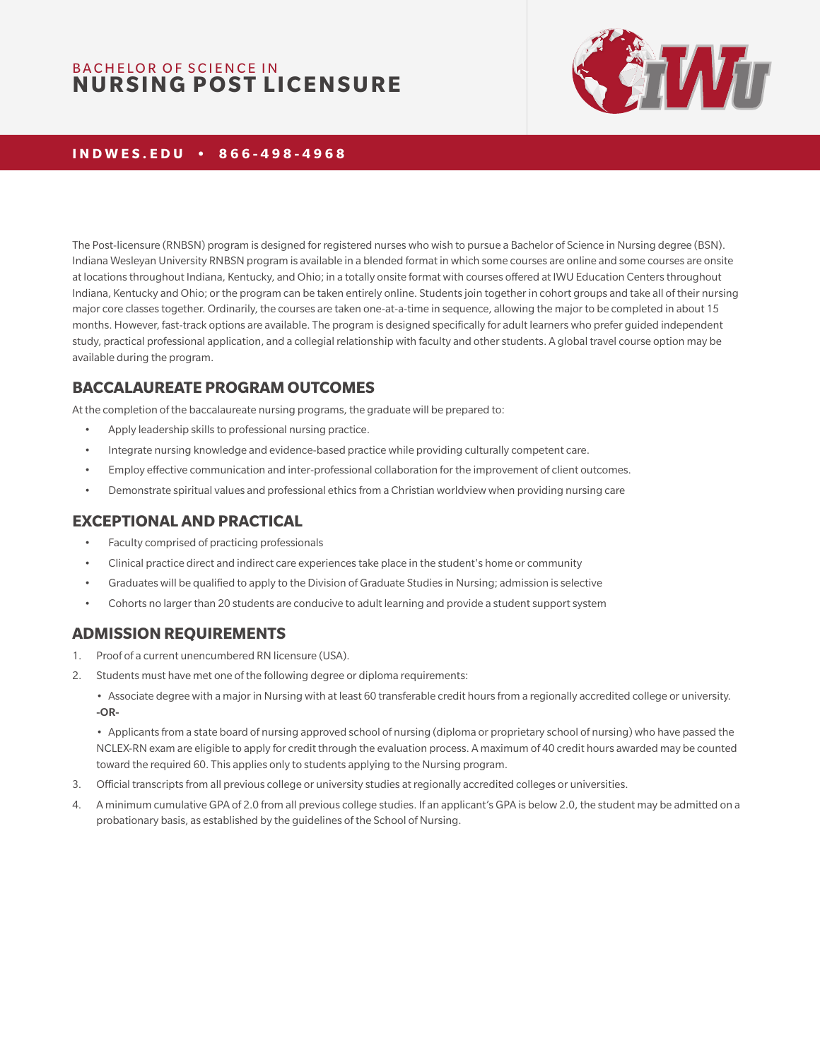# BACHELOR OF SCIENCE IN **NURSING POST LICENSURE**



#### **INDWES.EDU • 866-498-4968**

The Post-licensure (RNBSN) program is designed for registered nurses who wish to pursue a Bachelor of Science in Nursing degree (BSN). Indiana Wesleyan University RNBSN program is available in a blended format in which some courses are online and some courses are onsite at locations throughout Indiana, Kentucky, and Ohio; in a totally onsite format with courses offered at IWU Education Centers throughout Indiana, Kentucky and Ohio; or the program can be taken entirely online. Students join together in cohort groups and take all of their nursing major core classes together. Ordinarily, the courses are taken one-at-a-time in sequence, allowing the major to be completed in about 15 months. However, fast-track options are available. The program is designed specifically for adult learners who prefer guided independent study, practical professional application, and a collegial relationship with faculty and other students. A global travel course option may be available during the program.

## **BACCALAUREATE PROGRAM OUTCOMES**

At the completion of the baccalaureate nursing programs, the graduate will be prepared to:

- Apply leadership skills to professional nursing practice.
- Integrate nursing knowledge and evidence-based practice while providing culturally competent care.
- Employ effective communication and inter-professional collaboration for the improvement of client outcomes.
- Demonstrate spiritual values and professional ethics from a Christian worldview when providing nursing care

#### **EXCEPTIONAL AND PRACTICAL**

- Faculty comprised of practicing professionals
- Clinical practice direct and indirect care experiences take place in the student's home or community
- Graduates will be qualified to apply to the Division of Graduate Studies in Nursing; admission is selective
- Cohorts no larger than 20 students are conducive to adult learning and provide a student support system

#### **ADMISSION REQUIREMENTS**

- 1. Proof of a current unencumbered RN licensure (USA).
- 2. Students must have met one of the following degree or diploma requirements:
	- Associate degree with a major in Nursing with at least 60 transferable credit hours from a regionally accredited college or university. -OR-

• Applicants from a state board of nursing approved school of nursing (diploma or proprietary school of nursing) who have passed the NCLEX-RN exam are eligible to apply for credit through the evaluation process. A maximum of 40 credit hours awarded may be counted toward the required 60. This applies only to students applying to the Nursing program.

- 3. Official transcripts from all previous college or university studies at regionally accredited colleges or universities.
- 4. A minimum cumulative GPA of 2.0 from all previous college studies. If an applicant's GPA is below 2.0, the student may be admitted on a probationary basis, as established by the guidelines of the School of Nursing.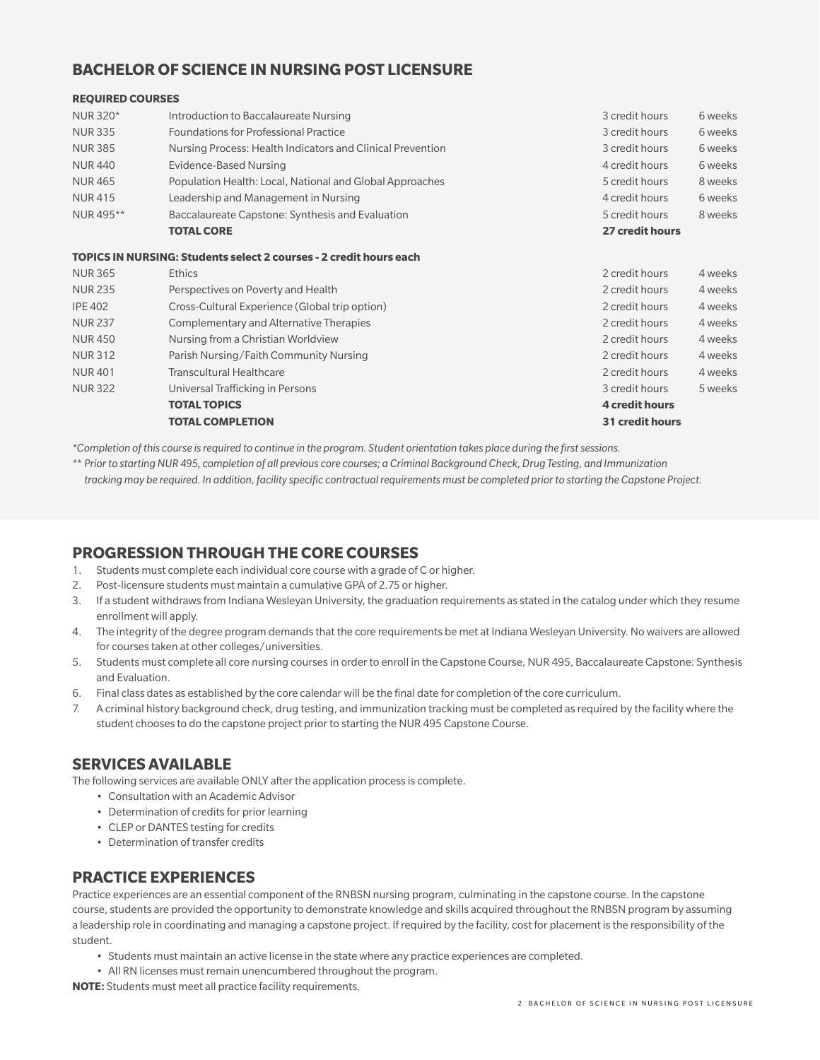### **BACHELOR OF SCIENCE IN NURSING POST LICENSURE**

#### **REQUIRED COURSES**

| NUR 320*       | Introduction to Baccalaureate Nursing                              | 3 credit hours  | 6 weeks |
|----------------|--------------------------------------------------------------------|-----------------|---------|
| <b>NUR335</b>  | <b>Foundations for Professional Practice</b>                       | 3 credit hours  | 6 weeks |
| <b>NUR 385</b> | Nursing Process: Health Indicators and Clinical Prevention         | 3 credit hours  | 6 weeks |
| <b>NUR440</b>  | Evidence-Based Nursing                                             | 4 credit hours  | 6 weeks |
| <b>NUR465</b>  | Population Health: Local, National and Global Approaches           | 5 credit hours  | 8 weeks |
| <b>NUR415</b>  | Leadership and Management in Nursing                               | 4 credit hours  | 6 weeks |
| NUR 495**      | Baccalaureate Capstone: Synthesis and Evaluation                   | 5 credit hours  | 8 weeks |
|                | <b>TOTAL CORE</b>                                                  | 27 credit hours |         |
|                | TOPICS IN NURSING: Students select 2 courses - 2 credit hours each |                 |         |
| <b>NUR 365</b> | <b>Ethics</b>                                                      | 2 credit hours  | 4 weeks |
| <b>NUR235</b>  | Perspectives on Poverty and Health                                 | 2 credit hours  | 4 weeks |
| <b>IPE 402</b> | Cross-Cultural Experience (Global trip option)                     | 2 credit hours  | 4 weeks |
| <b>NUR 237</b> | Complementary and Alternative Therapies                            | 2 credit hours  | 4 weeks |
| <b>NUR450</b>  | Nursing from a Christian Worldview                                 | 2 credit hours  | 4 weeks |

NUR 312 Parish Nursing/Faith Community Nursing 2 credit hours 4 weeks NUR 401 Transcultural Healthcare 2 credit hours 4 weeks NUR 322 Universal Trafficking in Persons 3 credit hours 3 credit hours 5 weeks  **TOTAL TOPICS 4 credit hours TOTAL COMPLETION 31 credit hours**

*\*Completion of this course is required to continue in the program. Student orientation takes place during the first sessions.*

*\*\* Prior to starting NUR 495, completion of all previous core courses; a Criminal Background Check, Drug Testing, and Immunization tracking may be required. In addition, facility specific contractual requirements must be completed prior to starting the Capstone Project.*

## **PROGRESSION THROUGH THE CORE COURSES**

- 1. Students must complete each individual core course with a grade of C or higher.
- 2. Post-licensure students must maintain a cumulative GPA of 2.75 or higher.
- 3. If a student withdraws from Indiana Wesleyan University, the graduation requirements as stated in the catalog under which they resume enrollment will apply.
- 4. The integrity of the degree program demands that the core requirements be met at Indiana Wesleyan University. No waivers are allowed for courses taken at other colleges/universities.
- 5. Students must complete all core nursing courses in order to enroll in the Capstone Course, NUR 495, Baccalaureate Capstone: Synthesis and Evaluation.
- 6. Final class dates as established by the core calendar will be the final date for completion of the core curriculum.
- 7. A criminal history background check, drug testing, and immunization tracking must be completed as required by the facility where the student chooses to do the capstone project prior to starting the NUR 495 Capstone Course.

#### **SERVICES AVAILABLE**

The following services are available ONLY after the application process is complete.

- Consultation with an Academic Advisor
- Determination of credits for prior learning
- CLEP or DANTES testing for credits
- Determination of transfer credits

#### **PRACTICE EXPERIENCES**

Practice experiences are an essential component of the RNBSN nursing program, culminating in the capstone course. In the capstone course, students are provided the opportunity to demonstrate knowledge and skills acquired throughout the RNBSN program by assuming a leadership role in coordinating and managing a capstone project. If required by the facility, cost for placement is the responsibility of the student.

- Students must maintain an active license in the state where any practice experiences are completed.
- All RN licenses must remain unencumbered throughout the program.

**NOTE:** Students must meet all practice facility requirements.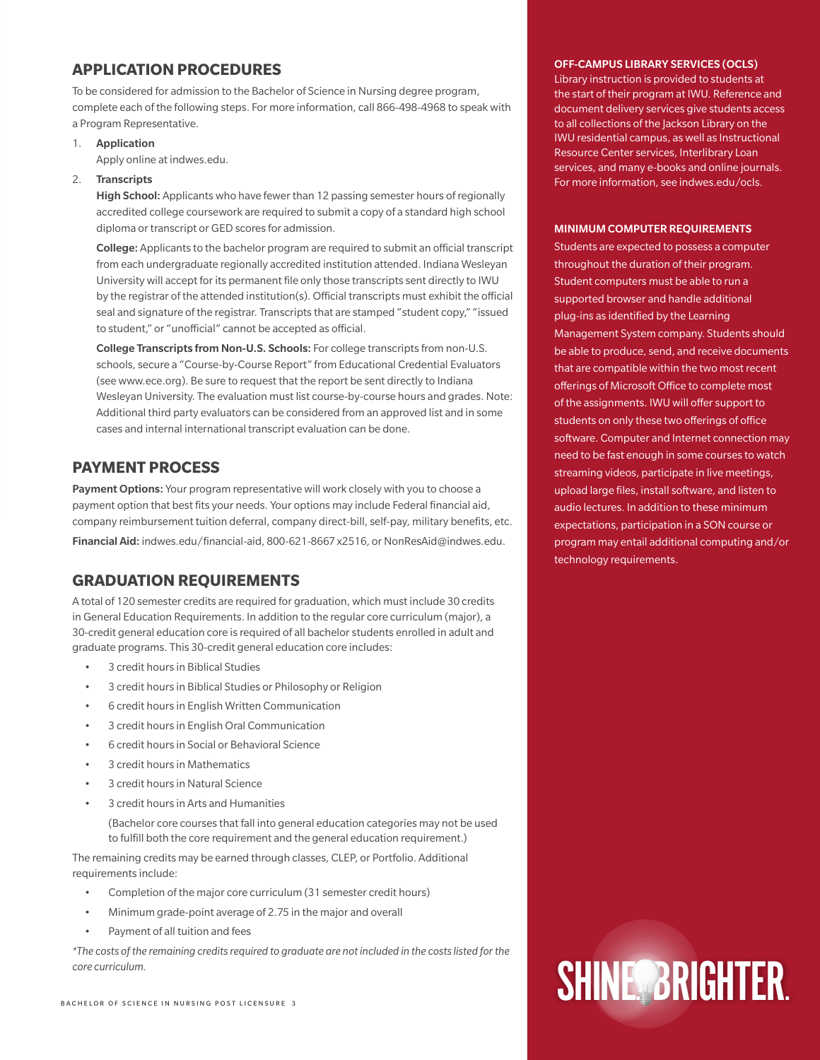# **APPLICATION PROCEDURES**

To be considered for admission to the Bachelor of Science in Nursing degree program, complete each of the following steps. For more information, call 866-498-4968 to speak with a Program Representative.

1. Application

Apply online at indwes.edu.

#### 2. Transcripts

High School: Applicants who have fewer than 12 passing semester hours of regionally accredited college coursework are required to submit a copy of a standard high school diploma or transcript or GED scores for admission.

College: Applicants to the bachelor program are required to submit an official transcript from each undergraduate regionally accredited institution attended. Indiana Wesleyan University will accept for its permanent file only those transcripts sent directly to IWU by the registrar of the attended institution(s). Official transcripts must exhibit the official seal and signature of the registrar. Transcripts that are stamped "student copy," "issued to student," or "unofficial" cannot be accepted as official.

College Transcripts from Non-U.S. Schools: For college transcripts from non-U.S. schools, secure a "Course-by-Course Report" from Educational Credential Evaluators (see www.ece.org). Be sure to request that the report be sent directly to Indiana Wesleyan University. The evaluation must list course-by-course hours and grades. Note: Additional third party evaluators can be considered from an approved list and in some cases and internal international transcript evaluation can be done.

### **PAYMENT PROCESS**

Payment Options: Your program representative will work closely with you to choose a payment option that best fits your needs. Your options may include Federal financial aid, company reimbursement tuition deferral, company direct-bill, self-pay, military benefits, etc. Financial Aid: indwes.edu/financial-aid, 800-621-8667 x2516, or NonResAid@indwes.edu.

#### **GRADUATION REQUIREMENTS**

A total of 120 semester credits are required for graduation, which must include 30 credits in General Education Requirements. In addition to the regular core curriculum (major), a 30-credit general education core is required of all bachelor students enrolled in adult and graduate programs. This 30-credit general education core includes:

- 3 credit hours in Biblical Studies
- 3 credit hours in Biblical Studies or Philosophy or Religion
- 6 credit hours in English Written Communication
- 3 credit hours in English Oral Communication
- 6 credit hours in Social or Behavioral Science
- 3 credit hours in Mathematics
- 3 credit hours in Natural Science
- 3 credit hours in Arts and Humanities

(Bachelor core courses that fall into general education categories may not be used to fulfill both the core requirement and the general education requirement.)

The remaining credits may be earned through classes, CLEP, or Portfolio. Additional requirements include:

- Completion of the major core curriculum (31 semester credit hours)
- Minimum grade-point average of 2.75 in the major and overall
- Payment of all tuition and fees

*\*The costs of the remaining credits required to graduate are not included in the costs listed for the* 

#### OFF-CAMPUS LIBRARY SERVICES (OCLS)

Library instruction is provided to students at the start of their program at IWU. Reference and document delivery services give students access to all collections of the Jackson Library on the IWU residential campus, as well as Instructional Resource Center services, Interlibrary Loan services, and many e-books and online journals. For more information, see indwes.edu/ocls.

#### MINIMUM COMPUTER REQUIREMENTS

Students are expected to possess a computer throughout the duration of their program. Student computers must be able to run a supported browser and handle additional plug-ins as identified by the Learning Management System company. Students should be able to produce, send, and receive documents that are compatible within the two most recent offerings of Microsoft Office to complete most of the assignments. IWU will offer support to students on only these two offerings of office software. Computer and Internet connection may need to be fast enough in some courses to watch streaming videos, participate in live meetings, upload large files, install software, and listen to audio lectures. In addition to these minimum expectations, participation in a SON course or program may entail additional computing and/or technology requirements.